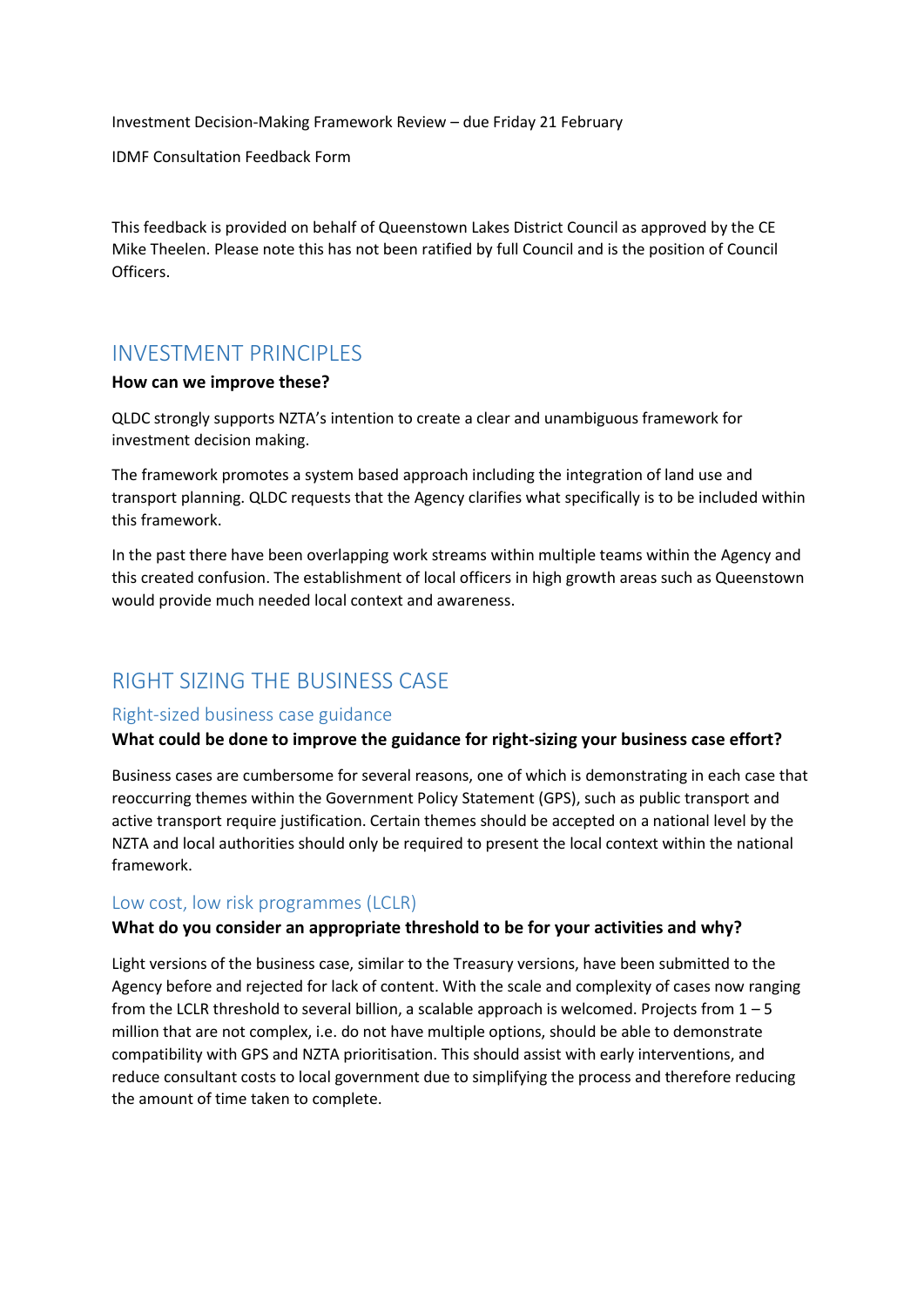Investment Decision-Making Framework Review – due Friday 21 February

IDMF Consultation Feedback Form

This feedback is provided on behalf of Queenstown Lakes District Council as approved by the CE Mike Theelen. Please note this has not been ratified by full Council and is the position of Council Officers.

# INVESTMENT PRINCIPLES

#### **How can we improve these?**

QLDC strongly supports NZTA's intention to create a clear and unambiguous framework for investment decision making.

The framework promotes a system based approach including the integration of land use and transport planning. QLDC requests that the Agency clarifies what specifically is to be included within this framework.

In the past there have been overlapping work streams within multiple teams within the Agency and this created confusion. The establishment of local officers in high growth areas such as Queenstown would provide much needed local context and awareness.

# RIGHT SIZING THE BUSINESS CASE

#### Right-sized business case guidance

#### **What could be done to improve the guidance for right-sizing your business case effort?**

Business cases are cumbersome for several reasons, one of which is demonstrating in each case that reoccurring themes within the Government Policy Statement (GPS), such as public transport and active transport require justification. Certain themes should be accepted on a national level by the NZTA and local authorities should only be required to present the local context within the national framework.

#### Low cost, low risk programmes (LCLR)

#### **What do you consider an appropriate threshold to be for your activities and why?**

Light versions of the business case, similar to the Treasury versions, have been submitted to the Agency before and rejected for lack of content. With the scale and complexity of cases now ranging from the LCLR threshold to several billion, a scalable approach is welcomed. Projects from 1 – 5 million that are not complex, i.e. do not have multiple options, should be able to demonstrate compatibility with GPS and NZTA prioritisation. This should assist with early interventions, and reduce consultant costs to local government due to simplifying the process and therefore reducing the amount of time taken to complete.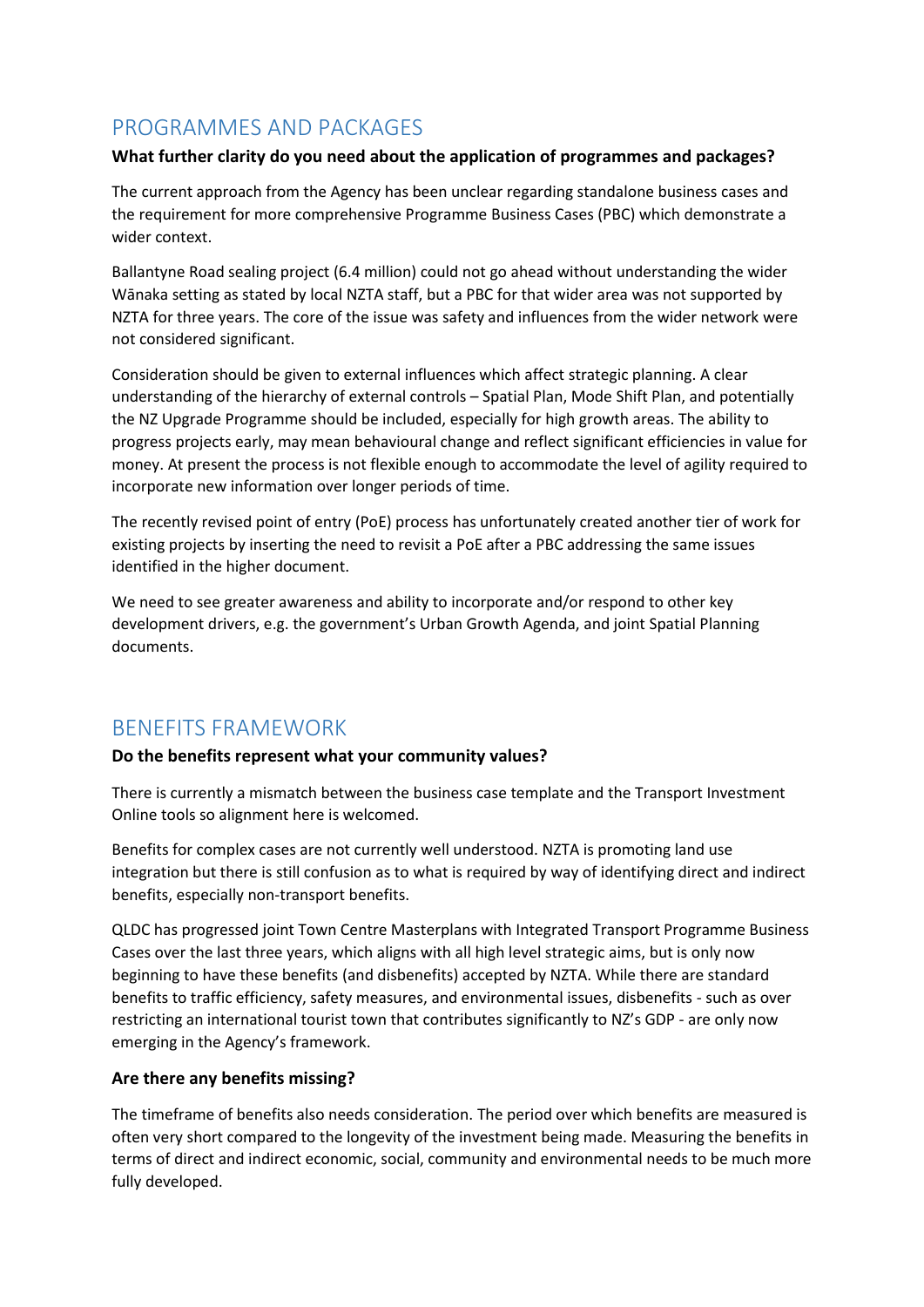# PROGRAMMES AND PACKAGES

#### **What further clarity do you need about the application of programmes and packages?**

The current approach from the Agency has been unclear regarding standalone business cases and the requirement for more comprehensive Programme Business Cases (PBC) which demonstrate a wider context.

Ballantyne Road sealing project (6.4 million) could not go ahead without understanding the wider Wānaka setting as stated by local NZTA staff, but a PBC for that wider area was not supported by NZTA for three years. The core of the issue was safety and influences from the wider network were not considered significant.

Consideration should be given to external influences which affect strategic planning. A clear understanding of the hierarchy of external controls – Spatial Plan, Mode Shift Plan, and potentially the NZ Upgrade Programme should be included, especially for high growth areas. The ability to progress projects early, may mean behavioural change and reflect significant efficiencies in value for money. At present the process is not flexible enough to accommodate the level of agility required to incorporate new information over longer periods of time.

The recently revised point of entry (PoE) process has unfortunately created another tier of work for existing projects by inserting the need to revisit a PoE after a PBC addressing the same issues identified in the higher document.

We need to see greater awareness and ability to incorporate and/or respond to other key development drivers, e.g. the government's Urban Growth Agenda, and joint Spatial Planning documents.

# BENEFITS FRAMEWORK

#### **Do the benefits represent what your community values?**

There is currently a mismatch between the business case template and the Transport Investment Online tools so alignment here is welcomed.

Benefits for complex cases are not currently well understood. NZTA is promoting land use integration but there is still confusion as to what is required by way of identifying direct and indirect benefits, especially non-transport benefits.

QLDC has progressed joint Town Centre Masterplans with Integrated Transport Programme Business Cases over the last three years, which aligns with all high level strategic aims, but is only now beginning to have these benefits (and disbenefits) accepted by NZTA. While there are standard benefits to traffic efficiency, safety measures, and environmental issues, disbenefits - such as over restricting an international tourist town that contributes significantly to NZ's GDP - are only now emerging in the Agency's framework.

#### **Are there any benefits missing?**

The timeframe of benefits also needs consideration. The period over which benefits are measured is often very short compared to the longevity of the investment being made. Measuring the benefits in terms of direct and indirect economic, social, community and environmental needs to be much more fully developed.